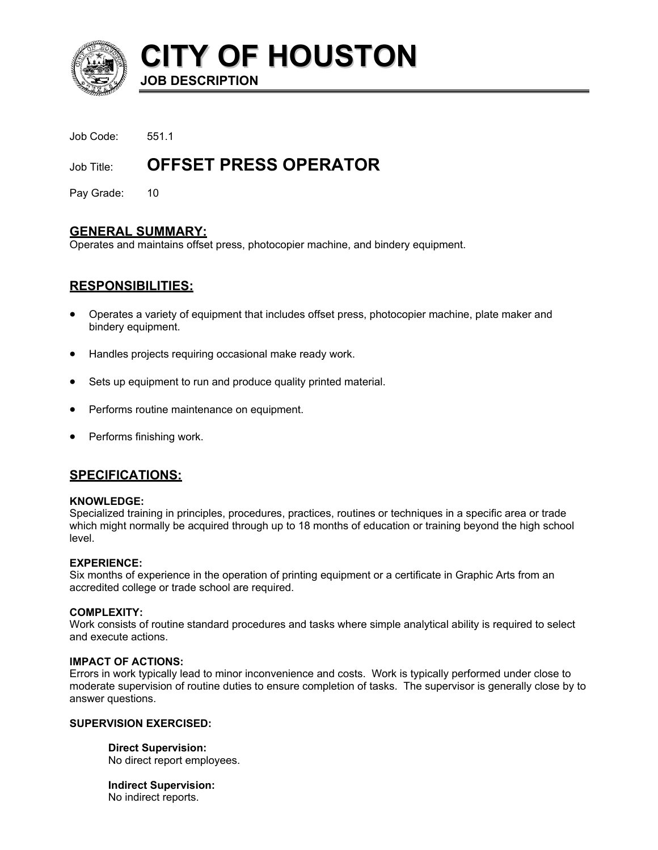

**CITY OF HOUSTON JOB DESCRIPTION** 

Job Code: 551.1

# Job Title: **OFFSET PRESS OPERATOR**

Pay Grade: 10

# **GENERAL SUMMARY:**

Operates and maintains offset press, photocopier machine, and bindery equipment.

# **RESPONSIBILITIES:**

- Operates a variety of equipment that includes offset press, photocopier machine, plate maker and bindery equipment.
- Handles projects requiring occasional make ready work.
- Sets up equipment to run and produce quality printed material.
- Performs routine maintenance on equipment.
- Performs finishing work.

# **SPECIFICATIONS:**

### **KNOWLEDGE:**

Specialized training in principles, procedures, practices, routines or techniques in a specific area or trade which might normally be acquired through up to 18 months of education or training beyond the high school level.

### **EXPERIENCE:**

Six months of experience in the operation of printing equipment or a certificate in Graphic Arts from an accredited college or trade school are required.

### **COMPLEXITY:**

Work consists of routine standard procedures and tasks where simple analytical ability is required to select and execute actions.

### **IMPACT OF ACTIONS:**

Errors in work typically lead to minor inconvenience and costs. Work is typically performed under close to moderate supervision of routine duties to ensure completion of tasks. The supervisor is generally close by to answer questions.

### **SUPERVISION EXERCISED:**

**Direct Supervision:** No direct report employees.

**Indirect Supervision:** No indirect reports.